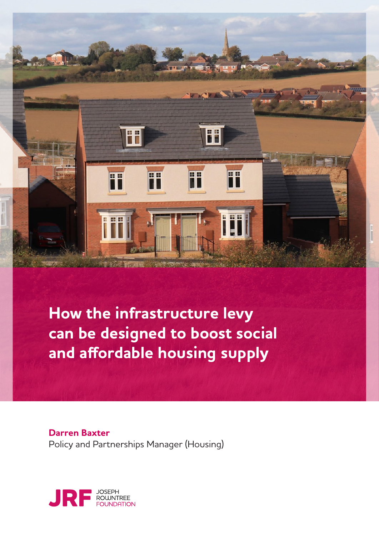

**How the infrastructure levy can be designed to boost social and affordable housing supply**

**Darren Baxter** Policy and Partnerships Manager (Housing)

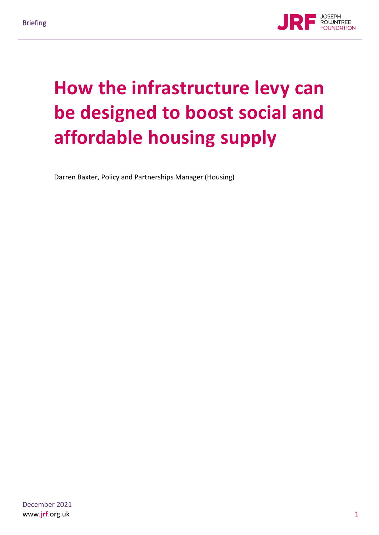

# **How the infrastructure levy can be designed to boost social and affordable housing supply**

Darren Baxter, Policy and Partnerships Manager (Housing)

December 2021 www.**jrf**.org.uk 1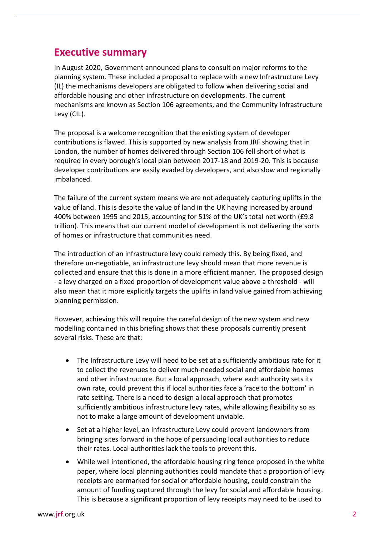## **Executive summary**

In August 2020, Government announced plans to consult on major reforms to the planning system. These included a proposal to replace with a new Infrastructure Levy (IL) the mechanisms developers are obligated to follow when delivering social and affordable housing and other infrastructure on developments. The current mechanisms are known as Section 106 agreements, and the Community Infrastructure Levy (CIL).

The proposal is a welcome recognition that the existing system of developer contributions is flawed. This is supported by new analysis from JRF showing that in London, the number of homes delivered through Section 106 fell short of what is required in every borough's local plan between 2017-18 and 2019-20. This is because developer contributions are easily evaded by developers, and also slow and regionally imbalanced.

The failure of the current system means we are not adequately capturing uplifts in the value of land. This is despite the value of land in the UK having increased by around 400% between 1995 and 2015, accounting for 51% of the UK's total net worth (£9.8 trillion). This means that our current model of development is not delivering the sorts of homes or infrastructure that communities need.

The introduction of an infrastructure levy could remedy this. By being fixed, and therefore un-negotiable, an infrastructure levy should mean that more revenue is collected and ensure that this is done in a more efficient manner. The proposed design - a levy charged on a fixed proportion of development value above a threshold - will also mean that it more explicitly targets the uplifts in land value gained from achieving planning permission.

However, achieving this will require the careful design of the new system and new modelling contained in this briefing shows that these proposals currently present several risks. These are that:

- The Infrastructure Levy will need to be set at a sufficiently ambitious rate for it to collect the revenues to deliver much-needed social and affordable homes and other infrastructure. But a local approach, where each authority sets its own rate, could prevent this if local authorities face a 'race to the bottom' in rate setting. There is a need to design a local approach that promotes sufficiently ambitious infrastructure levy rates, while allowing flexibility so as not to make a large amount of development unviable.
- Set at a higher level, an Infrastructure Levy could prevent landowners from bringing sites forward in the hope of persuading local authorities to reduce their rates. Local authorities lack the tools to prevent this.
- While well intentioned, the affordable housing ring fence proposed in the white paper, where local planning authorities could mandate that a proportion of levy receipts are earmarked for social or affordable housing, could constrain the amount of funding captured through the levy for social and affordable housing. This is because a significant proportion of levy receipts may need to be used to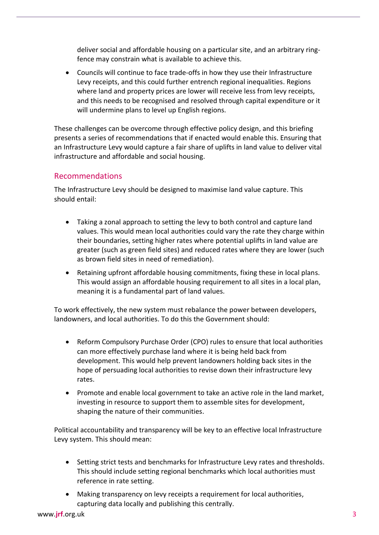deliver social and affordable housing on a particular site, and an arbitrary ringfence may constrain what is available to achieve this.

• Councils will continue to face trade-offs in how they use their Infrastructure Levy receipts, and this could further entrench regional inequalities. Regions where land and property prices are lower will receive less from levy receipts, and this needs to be recognised and resolved through capital expenditure or it will undermine plans to level up English regions.

These challenges can be overcome through effective policy design, and this briefing presents a series of recommendations that if enacted would enable this. Ensuring that an Infrastructure Levy would capture a fair share of uplifts in land value to deliver vital infrastructure and affordable and social housing.

#### Recommendations

The Infrastructure Levy should be designed to maximise land value capture. This should entail:

- Taking a zonal approach to setting the levy to both control and capture land values. This would mean local authorities could vary the rate they charge within their boundaries, setting higher rates where potential uplifts in land value are greater (such as green field sites) and reduced rates where they are lower (such as brown field sites in need of remediation).
- Retaining upfront affordable housing commitments, fixing these in local plans. This would assign an affordable housing requirement to all sites in a local plan, meaning it is a fundamental part of land values.

To work effectively, the new system must rebalance the power between developers, landowners, and local authorities. To do this the Government should:

- Reform Compulsory Purchase Order (CPO) rules to ensure that local authorities can more effectively purchase land where it is being held back from development. This would help prevent landowners holding back sites in the hope of persuading local authorities to revise down their infrastructure levy rates.
- Promote and enable local government to take an active role in the land market, investing in resource to support them to assemble sites for development, shaping the nature of their communities.

Political accountability and transparency will be key to an effective local Infrastructure Levy system. This should mean:

- Setting strict tests and benchmarks for Infrastructure Levy rates and thresholds. This should include setting regional benchmarks which local authorities must reference in rate setting.
- Making transparency on levy receipts a requirement for local authorities, capturing data locally and publishing this centrally.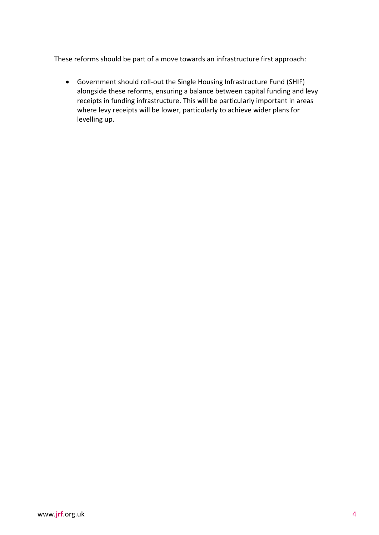These reforms should be part of a move towards an infrastructure first approach:

• Government should roll-out the Single Housing Infrastructure Fund (SHIF) alongside these reforms, ensuring a balance between capital funding and levy receipts in funding infrastructure. This will be particularly important in areas where levy receipts will be lower, particularly to achieve wider plans for levelling up.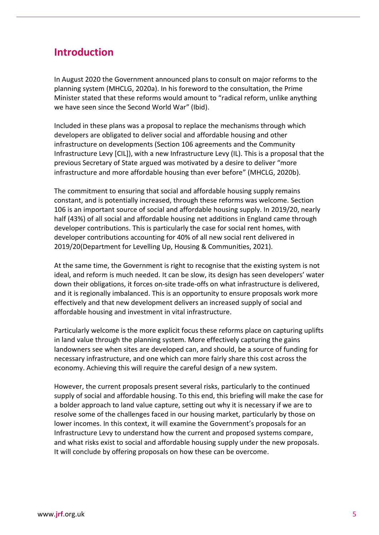## **Introduction**

In August 2020 the Government announced plans to consult on major reforms to the planning system (MHCLG, 2020a). In his foreword to the consultation, the Prime Minister stated that these reforms would amount to "radical reform, unlike anything we have seen since the Second World War" (Ibid).

Included in these plans was a proposal to replace the mechanisms through which developers are obligated to deliver social and affordable housing and other infrastructure on developments (Section 106 agreements and the Community Infrastructure Levy [CIL]), with a new Infrastructure Levy (IL). This is a proposal that the previous Secretary of State argued was motivated by a desire to deliver "more infrastructure and more affordable housing than ever before" (MHCLG, 2020b).

The commitment to ensuring that social and affordable housing supply remains constant, and is potentially increased, through these reforms was welcome. Section 106 is an important source of social and affordable housing supply. In 2019/20, nearly half (43%) of all social and affordable housing net additions in England came through developer contributions. This is particularly the case for social rent homes, with developer contributions accounting for 40% of all new social rent delivered in 2019/20(Department for Levelling Up, Housing & Communities, 2021).

At the same time, the Government is right to recognise that the existing system is not ideal, and reform is much needed. It can be slow, its design has seen developers' water down their obligations, it forces on-site trade-offs on what infrastructure is delivered, and it is regionally imbalanced. This is an opportunity to ensure proposals work more effectively and that new development delivers an increased supply of social and affordable housing and investment in vital infrastructure.

Particularly welcome is the more explicit focus these reforms place on capturing uplifts in land value through the planning system. More effectively capturing the gains landowners see when sites are developed can, and should, be a source of funding for necessary infrastructure, and one which can more fairly share this cost across the economy. Achieving this will require the careful design of a new system.

However, the current proposals present several risks, particularly to the continued supply of social and affordable housing. To this end, this briefing will make the case for a bolder approach to land value capture, setting out why it is necessary if we are to resolve some of the challenges faced in our housing market, particularly by those on lower incomes. In this context, it will examine the Government's proposals for an Infrastructure Levy to understand how the current and proposed systems compare, and what risks exist to social and affordable housing supply under the new proposals. It will conclude by offering proposals on how these can be overcome.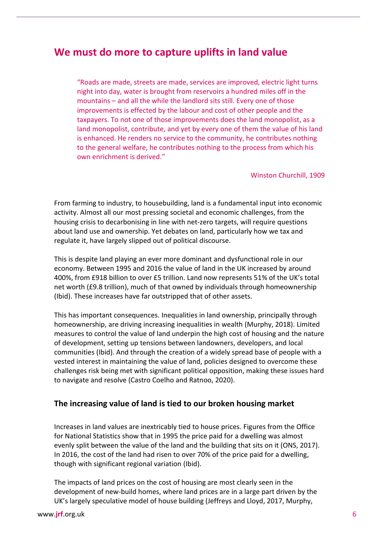## **We must do more to capture uplifts in land value**

"Roads are made, streets are made, services are improved, electric light turns night into day, water is brought from reservoirs a hundred miles off in the mountains – and all the while the landlord sits still. Every one of those improvements is effected by the labour and cost of other people and the taxpayers. To not one of those improvements does the land monopolist, as a land monopolist, contribute, and yet by every one of them the value of his land is enhanced. He renders no service to the community, he contributes nothing to the general welfare, he contributes nothing to the process from which his own enrichment is derived."

Winston Churchill, 1909

From farming to industry, to housebuilding, land is a fundamental input into economic activity. Almost all our most pressing societal and economic challenges, from the housing crisis to decarbonising in line with net-zero targets, will require questions about land use and ownership. Yet debates on land, particularly how we tax and regulate it, have largely slipped out of political discourse.

This is despite land playing an ever more dominant and dysfunctional role in our economy. Between 1995 and 2016 the value of land in the UK increased by around 400%, from £918 billion to over £5 trillion. Land now represents 51% of the UK's total net worth (£9.8 trillion), much of that owned by individuals through homeownership (Ibid). These increases have far outstripped that of other assets.

This has important consequences. Inequalities in land ownership, principally through homeownership, are driving increasing inequalities in wealth (Murphy, 2018). Limited measures to control the value of land underpin the high cost of housing and the nature of development, setting up tensions between landowners, developers, and local communities (Ibid). And through the creation of a widely spread base of people with a vested interest in maintaining the value of land, policies designed to overcome these challenges risk being met with significant political opposition, making these issues hard to navigate and resolve (Castro Coelho and Ratnoo, 2020).

#### **The increasing value of land is tied to our broken housing market**

Increases in land values are inextricably tied to house prices. Figures from the Office for National Statistics show that in 1995 the price paid for a dwelling was almost evenly split between the value of the land and the building that sits on it (ONS, 2017). In 2016, the cost of the land had risen to over 70% of the price paid for a dwelling, though with significant regional variation (Ibid).

The impacts of land prices on the cost of housing are most clearly seen in the development of new-build homes, where land prices are in a large part driven by the UK's largely speculative model of house building (Jeffreys and Lloyd, 2017, Murphy,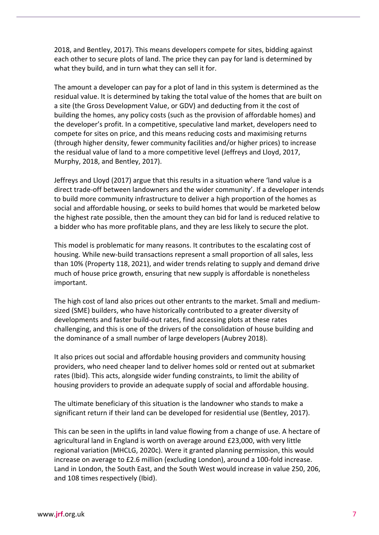2018, and Bentley, 2017). This means developers compete for sites, bidding against each other to secure plots of land. The price they can pay for land is determined by what they build, and in turn what they can sell it for.

The amount a developer can pay for a plot of land in this system is determined as the residual value. It is determined by taking the total value of the homes that are built on a site (the Gross Development Value, or GDV) and deducting from it the cost of building the homes, any policy costs (such as the provision of affordable homes) and the developer's profit. In a competitive, speculative land market, developers need to compete for sites on price, and this means reducing costs and maximising returns (through higher density, fewer community facilities and/or higher prices) to increase the residual value of land to a more competitive level (Jeffreys and Lloyd, 2017, Murphy, 2018, and Bentley, 2017).

Jeffreys and Lloyd (2017) argue that this results in a situation where 'land value is a direct trade-off between landowners and the wider community'. If a developer intends to build more community infrastructure to deliver a high proportion of the homes as social and affordable housing, or seeks to build homes that would be marketed below the highest rate possible, then the amount they can bid for land is reduced relative to a bidder who has more profitable plans, and they are less likely to secure the plot.

This model is problematic for many reasons. It contributes to the escalating cost of housing. While new-build transactions represent a small proportion of all sales, less than 10% (Property 118, 2021), and wider trends relating to supply and demand drive much of house price growth, ensuring that new supply is affordable is nonetheless important.

The high cost of land also prices out other entrants to the market. Small and mediumsized (SME) builders, who have historically contributed to a greater diversity of developments and faster build-out rates, find accessing plots at these rates challenging, and this is one of the drivers of the consolidation of house building and the dominance of a small number of large developers (Aubrey 2018).

It also prices out social and affordable housing providers and community housing providers, who need cheaper land to deliver homes sold or rented out at submarket rates (Ibid). This acts, alongside wider funding constraints, to limit the ability of housing providers to provide an adequate supply of social and affordable housing.

The ultimate beneficiary of this situation is the landowner who stands to make a significant return if their land can be developed for residential use (Bentley, 2017).

This can be seen in the uplifts in land value flowing from a change of use. A hectare of agricultural land in England is worth on average around £23,000, with very little regional variation (MHCLG, 2020c). Were it granted planning permission, this would increase on average to £2.6 million (excluding London), around a 100-fold increase. Land in London, the South East, and the South West would increase in value 250, 206, and 108 times respectively (Ibid).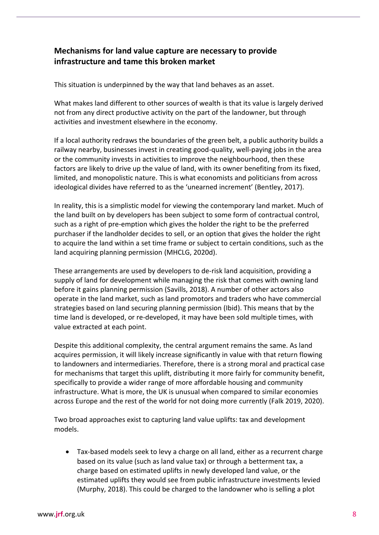#### **Mechanisms for land value capture are necessary to provide infrastructure and tame this broken market**

This situation is underpinned by the way that land behaves as an asset.

What makes land different to other sources of wealth is that its value is largely derived not from any direct productive activity on the part of the landowner, but through activities and investment elsewhere in the economy.

If a local authority redraws the boundaries of the green belt, a public authority builds a railway nearby, businesses invest in creating good-quality, well-paying jobs in the area or the community invests in activities to improve the neighbourhood, then these factors are likely to drive up the value of land, with its owner benefiting from its fixed, limited, and monopolistic nature. This is what economists and politicians from across ideological divides have referred to as the 'unearned increment' (Bentley, 2017).

In reality, this is a simplistic model for viewing the contemporary land market. Much of the land built on by developers has been subject to some form of contractual control, such as a right of pre-emption which gives the holder the right to be the preferred purchaser if the landholder decides to sell, or an option that gives the holder the right to acquire the land within a set time frame or subject to certain conditions, such as the land acquiring planning permission (MHCLG, 2020d).

These arrangements are used by developers to de-risk land acquisition, providing a supply of land for development while managing the risk that comes with owning land before it gains planning permission (Savills, 2018). A number of other actors also operate in the land market, such as land promotors and traders who have commercial strategies based on land securing planning permission (Ibid). This means that by the time land is developed, or re-developed, it may have been sold multiple times, with value extracted at each point.

Despite this additional complexity, the central argument remains the same. As land acquires permission, it will likely increase significantly in value with that return flowing to landowners and intermediaries. Therefore, there is a strong moral and practical case for mechanisms that target this uplift, distributing it more fairly for community benefit, specifically to provide a wider range of more affordable housing and community infrastructure. What is more, the UK is unusual when compared to similar economies across Europe and the rest of the world for not doing more currently (Falk 2019, 2020).

Two broad approaches exist to capturing land value uplifts: tax and development models.

• Tax-based models seek to levy a charge on all land, either as a recurrent charge based on its value (such as land value tax) or through a betterment tax, a charge based on estimated uplifts in newly developed land value, or the estimated uplifts they would see from public infrastructure investments levied (Murphy, 2018). This could be charged to the landowner who is selling a plot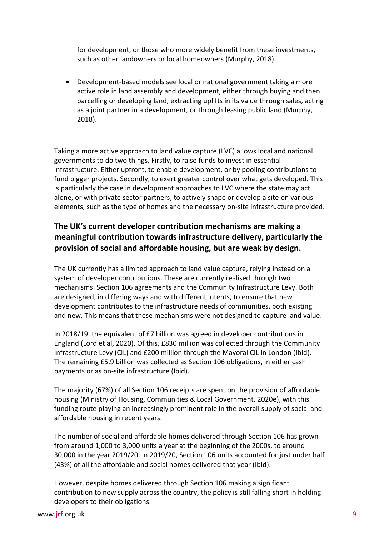for development, or those who more widely benefit from these investments, such as other landowners or local homeowners (Murphy, 2018).

• Development-based models see local or national government taking a more active role in land assembly and development, either through buying and then parcelling or developing land, extracting uplifts in its value through sales, acting as a joint partner in a development, or through leasing public land (Murphy, 2018).

Taking a more active approach to land value capture (LVC) allows local and national governments to do two things. Firstly, to raise funds to invest in essential infrastructure. Either upfront, to enable development, or by pooling contributions to fund bigger projects. Secondly, to exert greater control over what gets developed. This is particularly the case in development approaches to LVC where the state may act alone, or with private sector partners, to actively shape or develop a site on various elements, such as the type of homes and the necessary on-site infrastructure provided.

#### **The UK's current developer contribution mechanisms are making a meaningful contribution towards infrastructure delivery, particularly the provision of social and affordable housing, but are weak by design.**

The UK currently has a limited approach to land value capture, relying instead on a system of developer contributions. These are currently realised through two mechanisms: Section 106 agreements and the Community Infrastructure Levy. Both are designed, in differing ways and with different intents, to ensure that new development contributes to the infrastructure needs of communities, both existing and new. This means that these mechanisms were not designed to capture land value.

In 2018/19, the equivalent of £7 billion was agreed in developer contributions in England (Lord et al, 2020). Of this, £830 million was collected through the Community Infrastructure Levy (CIL) and £200 million through the Mayoral CIL in London (Ibid). The remaining £5.9 billion was collected as Section 106 obligations, in either cash payments or as on-site infrastructure (Ibid).

The majority (67%) of all Section 106 receipts are spent on the provision of affordable housing (Ministry of Housing, Communities & Local Government, 2020e), with this funding route playing an increasingly prominent role in the overall supply of social and affordable housing in recent years.

The number of social and affordable homes delivered through Section 106 has grown from around 1,000 to 3,000 units a year at the beginning of the 2000s, to around 30,000 in the year 2019/20. In 2019/20, Section 106 units accounted for just under half (43%) of all the affordable and social homes delivered that year (Ibid).

However, despite homes delivered through Section 106 making a significant contribution to new supply across the country, the policy is still falling short in holding developers to their obligations.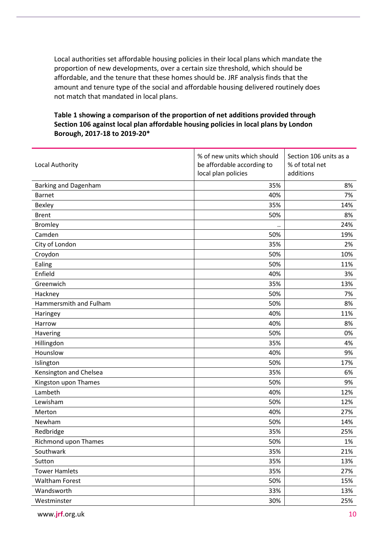Local authorities set affordable housing policies in their local plans which mandate the proportion of new developments, over a certain size threshold, which should be affordable, and the tenure that these homes should be. JRF analysis finds that the amount and tenure type of the social and affordable housing delivered routinely does not match that mandated in local plans.

#### **Table 1 showing a comparison of the proportion of net additions provided through Section 106 against local plan affordable housing policies in local plans by London Borough, 2017-18 to 2019-20\***

| Local Authority        | % of new units which should<br>be affordable according to<br>local plan policies | Section 106 units as a<br>% of total net<br>additions |
|------------------------|----------------------------------------------------------------------------------|-------------------------------------------------------|
| Barking and Dagenham   | 35%                                                                              | 8%                                                    |
| <b>Barnet</b>          | 40%                                                                              | 7%                                                    |
| <b>Bexley</b>          | 35%                                                                              | 14%                                                   |
| <b>Brent</b>           | 50%                                                                              | 8%                                                    |
| <b>Bromley</b>         |                                                                                  | 24%                                                   |
| Camden                 | 50%                                                                              | 19%                                                   |
| City of London         | 35%                                                                              | 2%                                                    |
| Croydon                | 50%                                                                              | 10%                                                   |
| Ealing                 | 50%                                                                              | 11%                                                   |
| Enfield                | 40%                                                                              | 3%                                                    |
| Greenwich              | 35%                                                                              | 13%                                                   |
| Hackney                | 50%                                                                              | 7%                                                    |
| Hammersmith and Fulham | 50%                                                                              | 8%                                                    |
| Haringey               | 40%                                                                              | 11%                                                   |
| Harrow                 | 40%                                                                              | 8%                                                    |
| Havering               | 50%                                                                              | 0%                                                    |
| Hillingdon             | 35%                                                                              | 4%                                                    |
| Hounslow               | 40%                                                                              | 9%                                                    |
| Islington              | 50%                                                                              | 17%                                                   |
| Kensington and Chelsea | 35%                                                                              | 6%                                                    |
| Kingston upon Thames   | 50%                                                                              | 9%                                                    |
| Lambeth                | 40%                                                                              | 12%                                                   |
| Lewisham               | 50%                                                                              | 12%                                                   |
| Merton                 | 40%                                                                              | 27%                                                   |
| Newham                 | 50%                                                                              | 14%                                                   |
| Redbridge              | 35%                                                                              | 25%                                                   |
| Richmond upon Thames   | 50%                                                                              | 1%                                                    |
| Southwark              | 35%                                                                              | 21%                                                   |
| Sutton                 | 35%                                                                              | 13%                                                   |
| <b>Tower Hamlets</b>   | 35%                                                                              | 27%                                                   |
| <b>Waltham Forest</b>  | 50%                                                                              | 15%                                                   |
| Wandsworth             | 33%                                                                              | 13%                                                   |
| Westminster            | 30%                                                                              | 25%                                                   |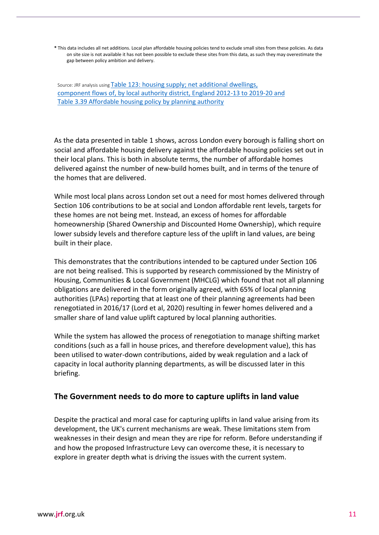**\*** This data includes all net additions. Local plan affordable housing policies tend to exclude small sites from these policies. As data on site size is not available it has not been possible to exclude these sites from this data, as such they may overestimate the gap between policy ambition and delivery.

Source: JRF analysis using [Table 123: housing supply; net additional dwellings,](https://assets.publishing.service.gov.uk/government/uploads/system/uploads/attachment_data/file/938200/Live_Table_123.ods)  [component flows of, by local authority district, England 2012-13 to](https://assets.publishing.service.gov.uk/government/uploads/system/uploads/attachment_data/file/938200/Live_Table_123.ods) 2019-20 and [Table 3.39 Affordable housing policy by planning authority](https://www.london.gov.uk/sites/default/files/amr_16_final.pdf)

As the data presented in table 1 shows, across London every borough is falling short on social and affordable housing delivery against the affordable housing policies set out in their local plans. This is both in absolute terms, the number of affordable homes delivered against the number of new-build homes built, and in terms of the tenure of the homes that are delivered.

While most local plans across London set out a need for most homes delivered through Section 106 contributions to be at social and London affordable rent levels, targets for these homes are not being met. Instead, an excess of homes for affordable homeownership (Shared Ownership and Discounted Home Ownership), which require lower subsidy levels and therefore capture less of the uplift in land values, are being built in their place.

This demonstrates that the contributions intended to be captured under Section 106 are not being realised. This is supported by research commissioned by the Ministry of Housing, Communities & Local Government (MHCLG) which found that not all planning obligations are delivered in the form originally agreed, with 65% of local planning authorities (LPAs) reporting that at least one of their planning agreements had been renegotiated in 2016/17 (Lord et al, 2020) resulting in fewer homes delivered and a smaller share of land value uplift captured by local planning authorities.

While the system has allowed the process of renegotiation to manage shifting market conditions (such as a fall in house prices, and therefore development value), this has been utilised to water-down contributions, aided by weak regulation and a lack of capacity in local authority planning departments, as will be discussed later in this briefing.

#### **The Government needs to do more to capture uplifts in land value**

Despite the practical and moral case for capturing uplifts in land value arising from its development, the UK's current mechanisms are weak. These limitations stem from weaknesses in their design and mean they are ripe for reform. Before understanding if and how the proposed Infrastructure Levy can overcome these, it is necessary to explore in greater depth what is driving the issues with the current system.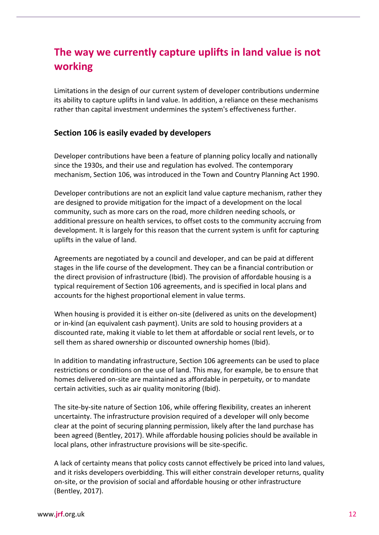# **The way we currently capture uplifts in land value is not working**

Limitations in the design of our current system of developer contributions undermine its ability to capture uplifts in land value. In addition, a reliance on these mechanisms rather than capital investment undermines the system's effectiveness further.

#### **Section 106 is easily evaded by developers**

Developer contributions have been a feature of planning policy locally and nationally since the 1930s, and their use and regulation has evolved. The contemporary mechanism, Section 106, was introduced in the Town and Country Planning Act 1990.

Developer contributions are not an explicit land value capture mechanism, rather they are designed to provide mitigation for the impact of a development on the local community, such as more cars on the road, more children needing schools, or additional pressure on health services, to offset costs to the community accruing from development. It is largely for this reason that the current system is unfit for capturing uplifts in the value of land.

Agreements are negotiated by a council and developer, and can be paid at different stages in the life course of the development. They can be a financial contribution or the direct provision of infrastructure (Ibid). The provision of affordable housing is a typical requirement of Section 106 agreements, and is specified in local plans and accounts for the highest proportional element in value terms.

When housing is provided it is either on-site (delivered as units on the development) or in-kind (an equivalent cash payment). Units are sold to housing providers at a discounted rate, making it viable to let them at affordable or social rent levels, or to sell them as shared ownership or discounted ownership homes (Ibid).

In addition to mandating infrastructure, Section 106 agreements can be used to place restrictions or conditions on the use of land. This may, for example, be to ensure that homes delivered on-site are maintained as affordable in perpetuity, or to mandate certain activities, such as air quality monitoring (Ibid).

The site-by-site nature of Section 106, while offering flexibility, creates an inherent uncertainty. The infrastructure provision required of a developer will only become clear at the point of securing planning permission, likely after the land purchase has been agreed (Bentley, 2017). While affordable housing policies should be available in local plans, other infrastructure provisions will be site-specific.

A lack of certainty means that policy costs cannot effectively be priced into land values, and it risks developers overbidding. This will either constrain developer returns, quality on-site, or the provision of social and affordable housing or other infrastructure (Bentley, 2017).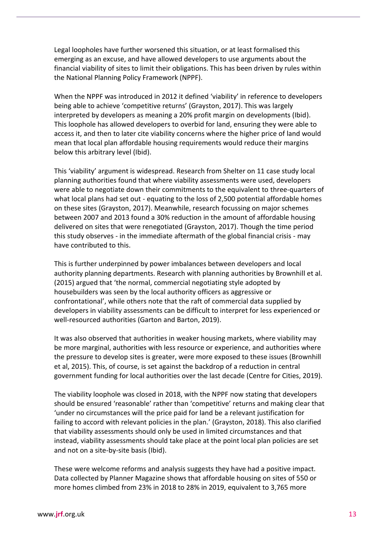Legal loopholes have further worsened this situation, or at least formalised this emerging as an excuse, and have allowed developers to use arguments about the financial viability of sites to limit their obligations. This has been driven by rules within the National Planning Policy Framework (NPPF).

When the NPPF was introduced in 2012 it defined 'viability' in reference to developers being able to achieve 'competitive returns' (Grayston, 2017). This was largely interpreted by developers as meaning a 20% profit margin on developments (Ibid). This loophole has allowed developers to overbid for land, ensuring they were able to access it, and then to later cite viability concerns where the higher price of land would mean that local plan affordable housing requirements would reduce their margins below this arbitrary level (Ibid).

This 'viability' argument is widespread. Research from Shelter on 11 case study local planning authorities found that where viability assessments were used, developers were able to negotiate down their commitments to the equivalent to three-quarters of what local plans had set out - equating to the loss of 2,500 potential affordable homes on these sites (Grayston, 2017). Meanwhile, research focussing on major schemes between 2007 and 2013 found a 30% reduction in the amount of affordable housing delivered on sites that were renegotiated (Grayston, 2017). Though the time period this study observes - in the immediate aftermath of the global financial crisis - may have contributed to this.

This is further underpinned by power imbalances between developers and local authority planning departments. Research with planning authorities by Brownhill et al. (2015) argued that 'the normal, commercial negotiating style adopted by housebuilders was seen by the local authority officers as aggressive or confrontational', while others note that the raft of commercial data supplied by developers in viability assessments can be difficult to interpret for less experienced or well-resourced authorities (Garton and Barton, 2019).

It was also observed that authorities in weaker housing markets, where viability may be more marginal, authorities with less resource or experience, and authorities where the pressure to develop sites is greater, were more exposed to these issues (Brownhill et al, 2015). This, of course, is set against the backdrop of a reduction in central government funding for local authorities over the last decade (Centre for Cities, 2019).

The viability loophole was closed in 2018, with the NPPF now stating that developers should be ensured 'reasonable' rather than 'competitive' returns and making clear that 'under no circumstances will the price paid for land be a relevant justification for failing to accord with relevant policies in the plan.' (Grayston, 2018). This also clarified that viability assessments should only be used in limited circumstances and that instead, viability assessments should take place at the point local plan policies are set and not on a site-by-site basis (Ibid).

These were welcome reforms and analysis suggests they have had a positive impact. Data collected by Planner Magazine shows that affordable housing on sites of 550 or more homes climbed from 23% in 2018 to 28% in 2019, equivalent to 3,765 more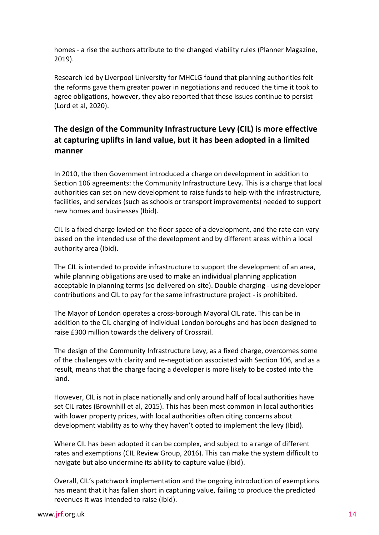homes - a rise the authors attribute to the changed viability rules (Planner Magazine, 2019).

Research led by Liverpool University for MHCLG found that planning authorities felt the reforms gave them greater power in negotiations and reduced the time it took to agree obligations, however, they also reported that these issues continue to persist (Lord et al, 2020).

#### **The design of the Community Infrastructure Levy (CIL) is more effective at capturing uplifts in land value, but it has been adopted in a limited manner**

In 2010, the then Government introduced a charge on development in addition to Section 106 agreements: the Community Infrastructure Levy. This is a charge that local authorities can set on new development to raise funds to help with the infrastructure, facilities, and services (such as schools or transport improvements) needed to support new homes and businesses (Ibid).

CIL is a fixed charge levied on the floor space of a development, and the rate can vary based on the intended use of the development and by different areas within a local authority area (Ibid).

The CIL is intended to provide infrastructure to support the development of an area, while planning obligations are used to make an individual planning application acceptable in planning terms (so delivered on-site). Double charging - using developer contributions and CIL to pay for the same infrastructure project - is prohibited.

The Mayor of London operates a cross-borough Mayoral CIL rate. This can be in addition to the CIL charging of individual London boroughs and has been designed to raise £300 million towards the delivery of Crossrail.

The design of the Community Infrastructure Levy, as a fixed charge, overcomes some of the challenges with clarity and re-negotiation associated with Section 106, and as a result, means that the charge facing a developer is more likely to be costed into the land.

However, CIL is not in place nationally and only around half of local authorities have set CIL rates (Brownhill et al, 2015). This has been most common in local authorities with lower property prices, with local authorities often citing concerns about development viability as to why they haven't opted to implement the levy (Ibid).

Where CIL has been adopted it can be complex, and subject to a range of different rates and exemptions (CIL Review Group, 2016). This can make the system difficult to navigate but also undermine its ability to capture value (Ibid).

Overall, CIL's patchwork implementation and the ongoing introduction of exemptions has meant that it has fallen short in capturing value, failing to produce the predicted revenues it was intended to raise (Ibid).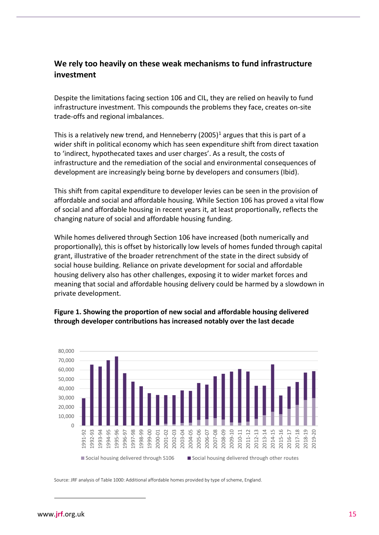#### **We rely too heavily on these weak mechanisms to fund infrastructure investment**

Despite the limitations facing section 106 and CIL, they are relied on heavily to fund infrastructure investment. This compounds the problems they face, creates on-site trade-offs and regional imbalances.

This is a relatively new trend, and Henneberry  $(2005)^1$  argues that this is part of a wider shift in political economy which has seen expenditure shift from direct taxation to 'indirect, hypothecated taxes and user charges'. As a result, the costs of infrastructure and the remediation of the social and environmental consequences of development are increasingly being borne by developers and consumers (Ibid).

This shift from capital expenditure to developer levies can be seen in the provision of affordable and social and affordable housing. While Section 106 has proved a vital flow of social and affordable housing in recent years it, at least proportionally, reflects the changing nature of social and affordable housing funding.

While homes delivered through Section 106 have increased (both numerically and proportionally), this is offset by historically low levels of homes funded through capital grant, illustrative of the broader retrenchment of the state in the direct subsidy of social house building. Reliance on private development for social and affordable housing delivery also has other challenges, exposing it to wider market forces and meaning that social and affordable housing delivery could be harmed by a slowdown in private development.



#### **Figure 1. Showing the proportion of new social and affordable housing delivered through developer contributions has increased notably over the last decade**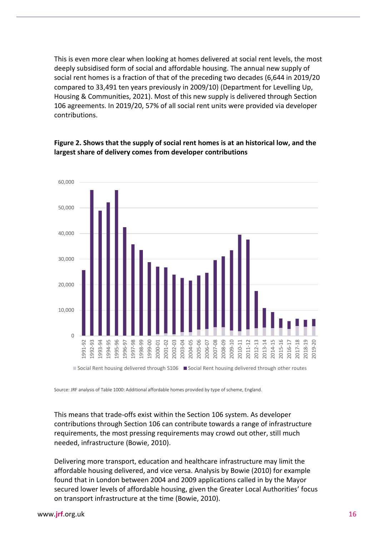This is even more clear when looking at homes delivered at social rent levels, the most deeply subsidised form of social and affordable housing. The annual new supply of social rent homes is a fraction of that of the preceding two decades (6,644 in 2019/20 compared to 33,491 ten years previously in 2009/10) (Department for Levelling Up, Housing & Communities, 2021). Most of this new supply is delivered through Section 106 agreements. In 2019/20, 57% of all social rent units were provided via developer contributions.



#### **Figure 2. Shows that the supply of social rent homes is at an historical low, and the largest share of delivery comes from developer contributions**

Source: JRF analysis of Table 1000: Additional affordable homes provided by type of scheme, England.

This means that trade-offs exist within the Section 106 system. As developer contributions through Section 106 can contribute towards a range of infrastructure requirements, the most pressing requirements may crowd out other, still much needed, infrastructure (Bowie, 2010).

Delivering more transport, education and healthcare infrastructure may limit the affordable housing delivered, and vice versa. Analysis by Bowie (2010) for example found that in London between 2004 and 2009 applications called in by the Mayor secured lower levels of affordable housing, given the Greater Local Authorities' focus  $\frac{61}{100}$   $\frac{61}{100}$   $\frac{61}{100}$   $\frac{61}{100}$   $\frac{61}{100}$   $\frac{61}{100}$   $\frac{61}{100}$   $\frac{61}{100}$   $\frac{61}{100}$   $\frac{61}{100}$   $\frac{61}{100}$   $\frac{61}{100}$   $\frac{61}{100}$   $\frac{61}{100}$   $\frac{61}{100}$   $\frac{61}{100}$   $\frac{61}{100}$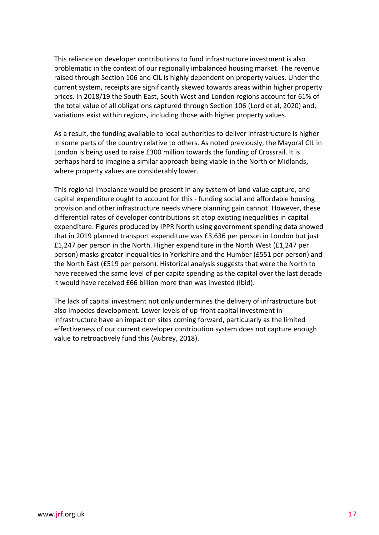This reliance on developer contributions to fund infrastructure investment is also problematic in the context of our regionally imbalanced housing market. The revenue raised through Section 106 and CIL is highly dependent on property values. Under the current system, receipts are significantly skewed towards areas within higher property prices. In 2018/19 the South East, South West and London regions account for 61% of the total value of all obligations captured through Section 106 (Lord et al, 2020) and, variations exist within regions, including those with higher property values.

As a result, the funding available to local authorities to deliver infrastructure is higher in some parts of the country relative to others. As noted previously, the Mayoral CIL in London is being used to raise £300 million towards the funding of Crossrail. It is perhaps hard to imagine a similar approach being viable in the North or Midlands, where property values are considerably lower.

This regional imbalance would be present in any system of land value capture, and capital expenditure ought to account for this - funding social and affordable housing provision and other infrastructure needs where planning gain cannot. However, these differential rates of developer contributions sit atop existing inequalities in capital expenditure. Figures produced by IPPR North using government spending data showed that in 2019 planned transport expenditure was £3,636 per person in London but just £1,247 per person in the North. Higher expenditure in the North West (£1,247 per person) masks greater inequalities in Yorkshire and the Humber (£551 per person) and the North East (£519 per person). Historical analysis suggests that were the North to have received the same level of per capita spending as the capital over the last decade it would have received £66 billion more than was invested (Ibid).

The lack of capital investment not only undermines the delivery of infrastructure but also impedes development. Lower levels of up-front capital investment in infrastructure have an impact on sites coming forward, particularly as the limited effectiveness of our current developer contribution system does not capture enough value to retroactively fund this (Aubrey, 2018).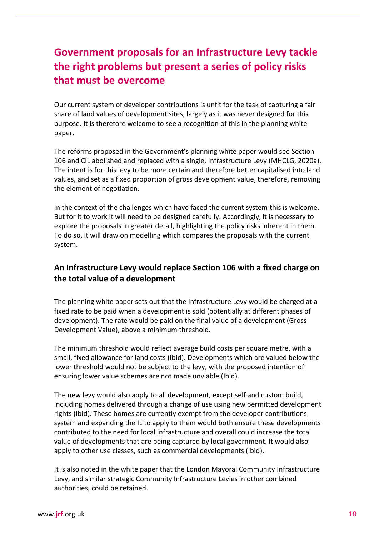# **Government proposals for an Infrastructure Levy tackle the right problems but present a series of policy risks that must be overcome**

Our current system of developer contributions is unfit for the task of capturing a fair share of land values of development sites, largely as it was never designed for this purpose. It is therefore welcome to see a recognition of this in the planning white paper.

The reforms proposed in the Government's planning white paper would see Section 106 and CIL abolished and replaced with a single, Infrastructure Levy (MHCLG, 2020a). The intent is for this levy to be more certain and therefore better capitalised into land values, and set as a fixed proportion of gross development value, therefore, removing the element of negotiation.

In the context of the challenges which have faced the current system this is welcome. But for it to work it will need to be designed carefully. Accordingly, it is necessary to explore the proposals in greater detail, highlighting the policy risks inherent in them. To do so, it will draw on modelling which compares the proposals with the current system.

#### **An Infrastructure Levy would replace Section 106 with a fixed charge on the total value of a development**

The planning white paper sets out that the Infrastructure Levy would be charged at a fixed rate to be paid when a development is sold (potentially at different phases of development). The rate would be paid on the final value of a development (Gross Development Value), above a minimum threshold.

The minimum threshold would reflect average build costs per square metre, with a small, fixed allowance for land costs (Ibid). Developments which are valued below the lower threshold would not be subject to the levy, with the proposed intention of ensuring lower value schemes are not made unviable (Ibid).

The new levy would also apply to all development, except self and custom build, including homes delivered through a change of use using new permitted development rights (Ibid). These homes are currently exempt from the developer contributions system and expanding the IL to apply to them would both ensure these developments contributed to the need for local infrastructure and overall could increase the total value of developments that are being captured by local government. It would also apply to other use classes, such as commercial developments (Ibid).

It is also noted in the white paper that the London Mayoral Community Infrastructure Levy, and similar strategic Community Infrastructure Levies in other combined authorities, could be retained.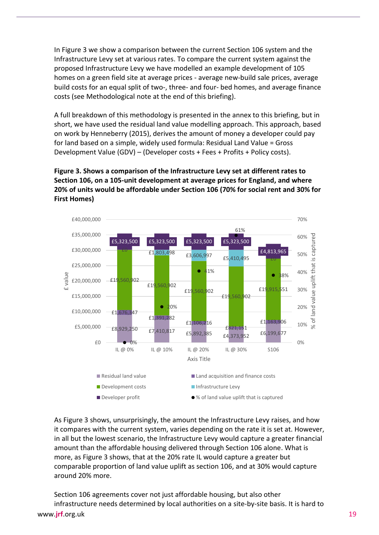In Figure 3 we show a comparison between the current Section 106 system and the Infrastructure Levy set at various rates. To compare the current system against the proposed Infrastructure Levy we have modelled an example development of 105 homes on a green field site at average prices - average new-build sale prices, average build costs for an equal split of two-, three- and four- bed homes, and average finance costs (see Methodological note at the end of this briefing).

A full breakdown of this methodology is presented in the annex to this briefing, but in short, we have used the residual land value modelling approach. This approach, based on work by Henneberry (2015), derives the amount of money a developer could pay for land based on a simple, widely used formula: Residual Land Value = Gross Development Value (GDV) – (Developer costs + Fees + Profits + Policy costs).

#### **Figure 3. Shows a comparison of the Infrastructure Levy set at different rates to Section 106, on a 105-unit development at average prices for England, and where 20% of units would be affordable under Section 106 (70% for social rent and 30% for First Homes)**



As Figure 3 shows, unsurprisingly, the amount the Infrastructure Levy raises, and how it compares with the current system, varies depending on the rate it is set at. However, in all but the lowest scenario, the Infrastructure Levy would capture a greater financial amount than the affordable housing delivered through Section 106 alone. What is more, as Figure 3 shows, that at the 20% rate IL would capture a greater but comparable proportion of land value uplift as section 106, and at 30% would capture around 20% more.

Section 106 agreements cover not just affordable housing, but also other infrastructure needs determined by local authorities on a site-by-site basis. It is hard to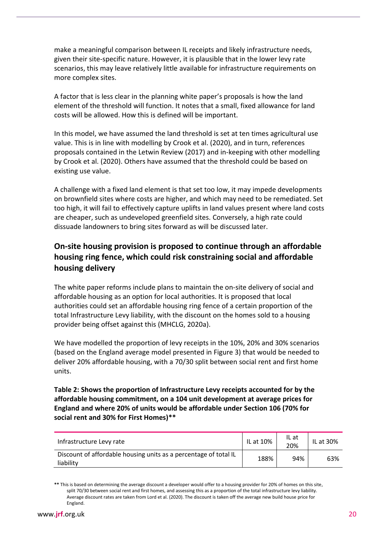make a meaningful comparison between IL receipts and likely infrastructure needs, given their site-specific nature. However, it is plausible that in the lower levy rate scenarios, this may leave relatively little available for infrastructure requirements on more complex sites.

A factor that is less clear in the planning white paper's proposals is how the land element of the threshold will function. It notes that a small, fixed allowance for land costs will be allowed. How this is defined will be important.

In this model, we have assumed the land threshold is set at ten times agricultural use value. This is in line with modelling by Crook et al. (2020), and in turn, references proposals contained in the Letwin Review (2017) and in-keeping with other modelling by Crook et al. (2020). Others have assumed that the threshold could be based on existing use value.

A challenge with a fixed land element is that set too low, it may impede developments on brownfield sites where costs are higher, and which may need to be remediated. Set too high, it will fail to effectively capture uplifts in land values present where land costs are cheaper, such as undeveloped greenfield sites. Conversely, a high rate could dissuade landowners to bring sites forward as will be discussed later.

#### **On-site housing provision is proposed to continue through an affordable housing ring fence, which could risk constraining social and affordable housing delivery**

The white paper reforms include plans to maintain the on-site delivery of social and affordable housing as an option for local authorities. It is proposed that local authorities could set an affordable housing ring fence of a certain proportion of the total Infrastructure Levy liability, with the discount on the homes sold to a housing provider being offset against this (MHCLG, 2020a).

We have modelled the proportion of levy receipts in the 10%, 20% and 30% scenarios (based on the England average model presented in Figure 3) that would be needed to deliver 20% affordable housing, with a 70/30 split between social rent and first home units.

**Table 2: Shows the proportion of Infrastructure Levy receipts accounted for by the affordable housing commitment, on a 104 unit development at average prices for England and where 20% of units would be affordable under Section 106 (70% for social rent and 30% for First Homes)\*\***

| Infrastructure Levy rate                                                      | IL at 10% | IL at<br>20% | IL at 30% |
|-------------------------------------------------------------------------------|-----------|--------------|-----------|
| Discount of affordable housing units as a percentage of total IL<br>liability | 188%      | 94%          | 63%       |

**<sup>\*\*</sup>** This is based on determining the average discount a developer would offer to a housing provider for 20% of homes on this site, split 70/30 between social rent and first homes, and assessing this as a proportion of the total infrastructure levy liability. Average discount rates are taken from Lord et al. (2020). The discount is taken off the average new build house price for England.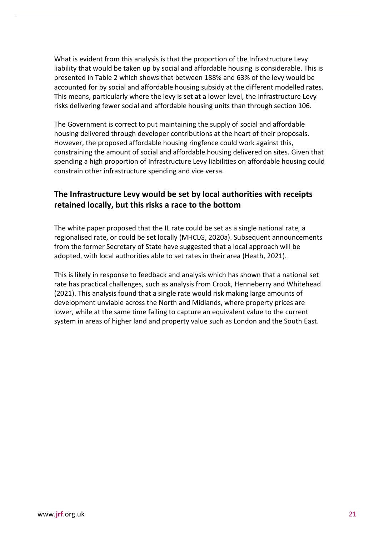What is evident from this analysis is that the proportion of the Infrastructure Levy liability that would be taken up by social and affordable housing is considerable. This is presented in Table 2 which shows that between 188% and 63% of the levy would be accounted for by social and affordable housing subsidy at the different modelled rates. This means, particularly where the levy is set at a lower level, the Infrastructure Levy risks delivering fewer social and affordable housing units than through section 106.

The Government is correct to put maintaining the supply of social and affordable housing delivered through developer contributions at the heart of their proposals. However, the proposed affordable housing ringfence could work against this, constraining the amount of social and affordable housing delivered on sites. Given that spending a high proportion of Infrastructure Levy liabilities on affordable housing could constrain other infrastructure spending and vice versa.

#### **The Infrastructure Levy would be set by local authorities with receipts retained locally, but this risks a race to the bottom**

The white paper proposed that the IL rate could be set as a single national rate, a regionalised rate, or could be set locally (MHCLG, 2020a). Subsequent announcements from the former Secretary of State have suggested that a local approach will be adopted, with local authorities able to set rates in their area (Heath, 2021).

This is likely in response to feedback and analysis which has shown that a national set rate has practical challenges, such as analysis from Crook, Henneberry and Whitehead (2021). This analysis found that a single rate would risk making large amounts of development unviable across the North and Midlands, where property prices are lower, while at the same time failing to capture an equivalent value to the current system in areas of higher land and property value such as London and the South East.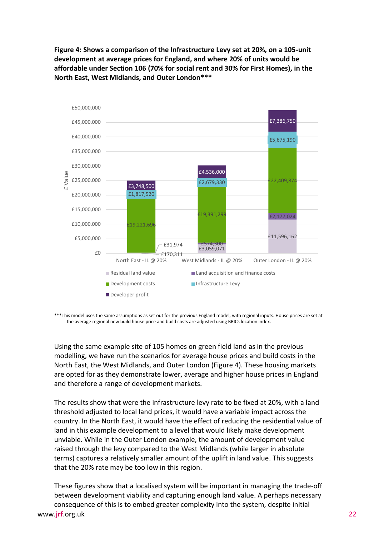**Figure 4: Shows a comparison of the Infrastructure Levy set at 20%, on a 105-unit development at average prices for England, and where 20% of units would be affordable under Section 106 (70% for social rent and 30% for First Homes), in the North East, West Midlands, and Outer London\*\*\***



\*\*\*This model uses the same assumptions as set out for the previous England model, with regional inputs. House prices are set at the average regional new build house price and build costs are adjusted using BRICs location index.

Using the same example site of 105 homes on green field land as in the previous modelling, we have run the scenarios for average house prices and build costs in the North East, the West Midlands, and Outer London (Figure 4). These housing markets are opted for as they demonstrate lower, average and higher house prices in England and therefore a range of development markets.

The results show that were the infrastructure levy rate to be fixed at 20%, with a land threshold adjusted to local land prices, it would have a variable impact across the country. In the North East, it would have the effect of reducing the residential value of land in this example development to a level that would likely make development unviable. While in the Outer London example, the amount of development value raised through the levy compared to the West Midlands (while larger in absolute terms) captures a relatively smaller amount of the uplift in land value. This suggests that the 20% rate may be too low in this region.

www.**jrf**[.org.uk](http://www.jrf.org.uk/) 22 These figures show that a localised system will be important in managing the trade-off between development viability and capturing enough land value. A perhaps necessary consequence of this is to embed greater complexity into the system, despite initial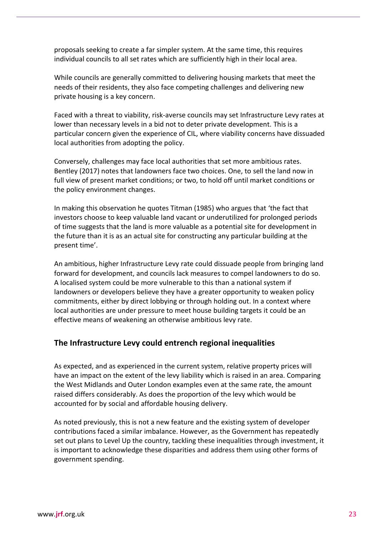proposals seeking to create a far simpler system. At the same time, this requires individual councils to all set rates which are sufficiently high in their local area.

While councils are generally committed to delivering housing markets that meet the needs of their residents, they also face competing challenges and delivering new private housing is a key concern.

Faced with a threat to viability, risk-averse councils may set Infrastructure Levy rates at lower than necessary levels in a bid not to deter private development. This is a particular concern given the experience of CIL, where viability concerns have dissuaded local authorities from adopting the policy.

Conversely, challenges may face local authorities that set more ambitious rates. Bentley (2017) notes that landowners face two choices. One, to sell the land now in full view of present market conditions; or two, to hold off until market conditions or the policy environment changes.

In making this observation he quotes Titman (1985) who argues that 'the fact that investors choose to keep valuable land vacant or underutilized for prolonged periods of time suggests that the land is more valuable as a potential site for development in the future than it is as an actual site for constructing any particular building at the present time'.

An ambitious, higher Infrastructure Levy rate could dissuade people from bringing land forward for development, and councils lack measures to compel landowners to do so. A localised system could be more vulnerable to this than a national system if landowners or developers believe they have a greater opportunity to weaken policy commitments, either by direct lobbying or through holding out. In a context where local authorities are under pressure to meet house building targets it could be an effective means of weakening an otherwise ambitious levy rate.

#### **The Infrastructure Levy could entrench regional inequalities**

As expected, and as experienced in the current system, relative property prices will have an impact on the extent of the levy liability which is raised in an area. Comparing the West Midlands and Outer London examples even at the same rate, the amount raised differs considerably. As does the proportion of the levy which would be accounted for by social and affordable housing delivery.

As noted previously, this is not a new feature and the existing system of developer contributions faced a similar imbalance. However, as the Government has repeatedly set out plans to Level Up the country, tackling these inequalities through investment, it is important to acknowledge these disparities and address them using other forms of government spending.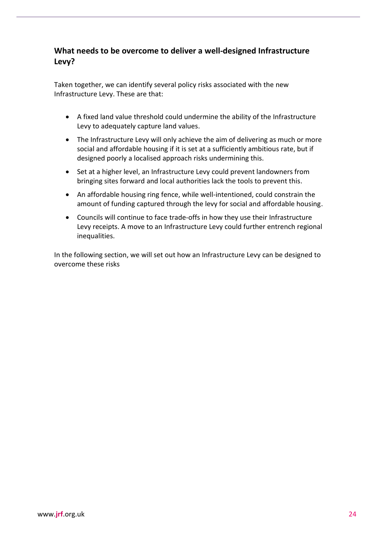#### **What needs to be overcome to deliver a well-designed Infrastructure Levy?**

Taken together, we can identify several policy risks associated with the new Infrastructure Levy. These are that:

- A fixed land value threshold could undermine the ability of the Infrastructure Levy to adequately capture land values.
- The Infrastructure Levy will only achieve the aim of delivering as much or more social and affordable housing if it is set at a sufficiently ambitious rate, but if designed poorly a localised approach risks undermining this.
- Set at a higher level, an Infrastructure Levy could prevent landowners from bringing sites forward and local authorities lack the tools to prevent this.
- An affordable housing ring fence, while well-intentioned, could constrain the amount of funding captured through the levy for social and affordable housing.
- Councils will continue to face trade-offs in how they use their Infrastructure Levy receipts. A move to an Infrastructure Levy could further entrench regional inequalities.

In the following section, we will set out how an Infrastructure Levy can be designed to overcome these risks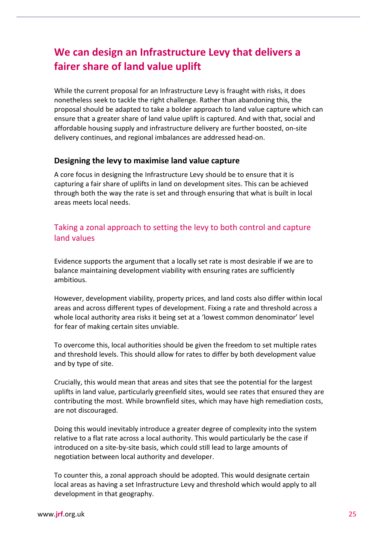# **We can design an Infrastructure Levy that delivers a fairer share of land value uplift**

While the current proposal for an Infrastructure Levy is fraught with risks, it does nonetheless seek to tackle the right challenge. Rather than abandoning this, the proposal should be adapted to take a bolder approach to land value capture which can ensure that a greater share of land value uplift is captured. And with that, social and affordable housing supply and infrastructure delivery are further boosted, on-site delivery continues, and regional imbalances are addressed head-on.

#### **Designing the levy to maximise land value capture**

A core focus in designing the Infrastructure Levy should be to ensure that it is capturing a fair share of uplifts in land on development sites. This can be achieved through both the way the rate is set and through ensuring that what is built in local areas meets local needs.

#### Taking a zonal approach to setting the levy to both control and capture land values

Evidence supports the argument that a locally set rate is most desirable if we are to balance maintaining development viability with ensuring rates are sufficiently ambitious.

However, development viability, property prices, and land costs also differ within local areas and across different types of development. Fixing a rate and threshold across a whole local authority area risks it being set at a 'lowest common denominator' level for fear of making certain sites unviable.

To overcome this, local authorities should be given the freedom to set multiple rates and threshold levels. This should allow for rates to differ by both development value and by type of site.

Crucially, this would mean that areas and sites that see the potential for the largest uplifts in land value, particularly greenfield sites, would see rates that ensured they are contributing the most. While brownfield sites, which may have high remediation costs, are not discouraged.

Doing this would inevitably introduce a greater degree of complexity into the system relative to a flat rate across a local authority. This would particularly be the case if introduced on a site-by-site basis, which could still lead to large amounts of negotiation between local authority and developer.

To counter this, a zonal approach should be adopted. This would designate certain local areas as having a set Infrastructure Levy and threshold which would apply to all development in that geography.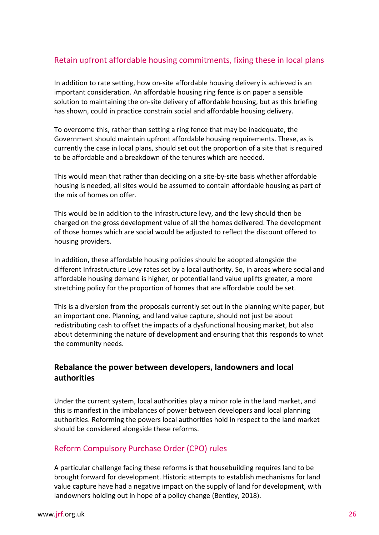#### Retain upfront affordable housing commitments, fixing these in local plans

In addition to rate setting, how on-site affordable housing delivery is achieved is an important consideration. An affordable housing ring fence is on paper a sensible solution to maintaining the on-site delivery of affordable housing, but as this briefing has shown, could in practice constrain social and affordable housing delivery.

To overcome this, rather than setting a ring fence that may be inadequate, the Government should maintain upfront affordable housing requirements. These, as is currently the case in local plans, should set out the proportion of a site that is required to be affordable and a breakdown of the tenures which are needed.

This would mean that rather than deciding on a site-by-site basis whether affordable housing is needed, all sites would be assumed to contain affordable housing as part of the mix of homes on offer.

This would be in addition to the infrastructure levy, and the levy should then be charged on the gross development value of all the homes delivered. The development of those homes which are social would be adjusted to reflect the discount offered to housing providers.

In addition, these affordable housing policies should be adopted alongside the different Infrastructure Levy rates set by a local authority. So, in areas where social and affordable housing demand is higher, or potential land value uplifts greater, a more stretching policy for the proportion of homes that are affordable could be set.

This is a diversion from the proposals currently set out in the planning white paper, but an important one. Planning, and land value capture, should not just be about redistributing cash to offset the impacts of a dysfunctional housing market, but also about determining the nature of development and ensuring that this responds to what the community needs.

#### **Rebalance the power between developers, landowners and local authorities**

Under the current system, local authorities play a minor role in the land market, and this is manifest in the imbalances of power between developers and local planning authorities. Reforming the powers local authorities hold in respect to the land market should be considered alongside these reforms.

#### Reform Compulsory Purchase Order (CPO) rules

A particular challenge facing these reforms is that housebuilding requires land to be brought forward for development. Historic attempts to establish mechanisms for land value capture have had a negative impact on the supply of land for development, with landowners holding out in hope of a policy change (Bentley, 2018).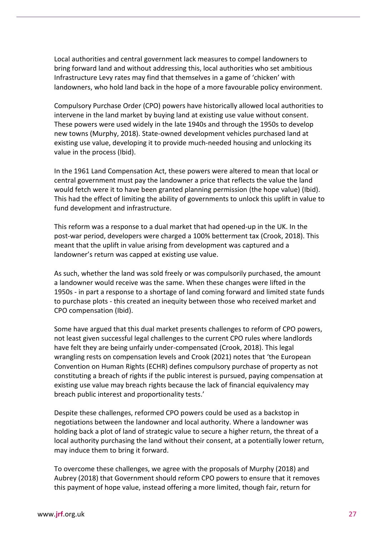Local authorities and central government lack measures to compel landowners to bring forward land and without addressing this, local authorities who set ambitious Infrastructure Levy rates may find that themselves in a game of 'chicken' with landowners, who hold land back in the hope of a more favourable policy environment.

Compulsory Purchase Order (CPO) powers have historically allowed local authorities to intervene in the land market by buying land at existing use value without consent. These powers were used widely in the late 1940s and through the 1950s to develop new towns (Murphy, 2018). State-owned development vehicles purchased land at existing use value, developing it to provide much-needed housing and unlocking its value in the process (Ibid).

In the 1961 Land Compensation Act, these powers were altered to mean that local or central government must pay the landowner a price that reflects the value the land would fetch were it to have been granted planning permission (the hope value) (Ibid). This had the effect of limiting the ability of governments to unlock this uplift in value to fund development and infrastructure.

This reform was a response to a dual market that had opened-up in the UK. In the post-war period, developers were charged a 100% betterment tax (Crook, 2018). This meant that the uplift in value arising from development was captured and a landowner's return was capped at existing use value.

As such, whether the land was sold freely or was compulsorily purchased, the amount a landowner would receive was the same. When these changes were lifted in the 1950s - in part a response to a shortage of land coming forward and limited state funds to purchase plots - this created an inequity between those who received market and CPO compensation (Ibid).

Some have argued that this dual market presents challenges to reform of CPO powers, not least given successful legal challenges to the current CPO rules where landlords have felt they are being unfairly under-compensated (Crook, 2018). This legal wrangling rests on compensation levels and Crook (2021) notes that 'the European Convention on Human Rights (ECHR) defines compulsory purchase of property as not constituting a breach of rights if the public interest is pursued, paying compensation at existing use value may breach rights because the lack of financial equivalency may breach public interest and proportionality tests.'

Despite these challenges, reformed CPO powers could be used as a backstop in negotiations between the landowner and local authority. Where a landowner was holding back a plot of land of strategic value to secure a higher return, the threat of a local authority purchasing the land without their consent, at a potentially lower return, may induce them to bring it forward.

To overcome these challenges, we agree with the proposals of Murphy (2018) and Aubrey (2018) that Government should reform CPO powers to ensure that it removes this payment of hope value, instead offering a more limited, though fair, return for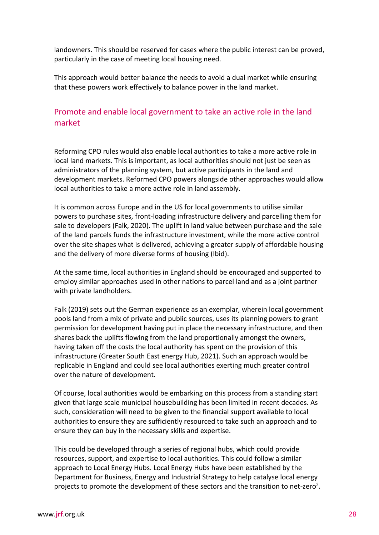landowners. This should be reserved for cases where the public interest can be proved, particularly in the case of meeting local housing need.

This approach would better balance the needs to avoid a dual market while ensuring that these powers work effectively to balance power in the land market.

#### Promote and enable local government to take an active role in the land market

Reforming CPO rules would also enable local authorities to take a more active role in local land markets. This is important, as local authorities should not just be seen as administrators of the planning system, but active participants in the land and development markets. Reformed CPO powers alongside other approaches would allow local authorities to take a more active role in land assembly.

It is common across Europe and in the US for local governments to utilise similar powers to purchase sites, front-loading infrastructure delivery and parcelling them for sale to developers (Falk, 2020). The uplift in land value between purchase and the sale of the land parcels funds the infrastructure investment, while the more active control over the site shapes what is delivered, achieving a greater supply of affordable housing and the delivery of more diverse forms of housing (Ibid).

At the same time, local authorities in England should be encouraged and supported to employ similar approaches used in other nations to parcel land and as a joint partner with private landholders.

Falk (2019) sets out the German experience as an exemplar, wherein local government pools land from a mix of private and public sources, uses its planning powers to grant permission for development having put in place the necessary infrastructure, and then shares back the uplifts flowing from the land proportionally amongst the owners, having taken off the costs the local authority has spent on the provision of this infrastructure (Greater South East energy Hub, 2021). Such an approach would be replicable in England and could see local authorities exerting much greater control over the nature of development.

Of course, local authorities would be embarking on this process from a standing start given that large scale municipal housebuilding has been limited in recent decades. As such, consideration will need to be given to the financial support available to local authorities to ensure they are sufficiently resourced to take such an approach and to ensure they can buy in the necessary skills and expertise.

This could be developed through a series of regional hubs, which could provide resources, support, and expertise to local authorities. This could follow a similar approach to Local Energy Hubs. Local Energy Hubs have been established by the Department for Business, Energy and Industrial Strategy to help catalyse local energy projects to promote the development of these sectors and the transition to net-zero<sup>2</sup>.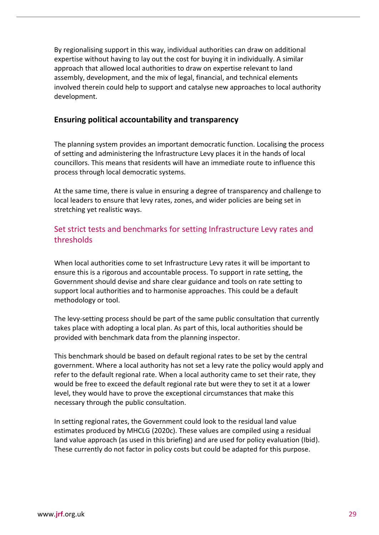By regionalising support in this way, individual authorities can draw on additional expertise without having to lay out the cost for buying it in individually. A similar approach that allowed local authorities to draw on expertise relevant to land assembly, development, and the mix of legal, financial, and technical elements involved therein could help to support and catalyse new approaches to local authority development.

#### **Ensuring political accountability and transparency**

The planning system provides an important democratic function. Localising the process of setting and administering the Infrastructure Levy places it in the hands of local councillors. This means that residents will have an immediate route to influence this process through local democratic systems.

At the same time, there is value in ensuring a degree of transparency and challenge to local leaders to ensure that levy rates, zones, and wider policies are being set in stretching yet realistic ways.

#### Set strict tests and benchmarks for setting Infrastructure Levy rates and thresholds

When local authorities come to set Infrastructure Levy rates it will be important to ensure this is a rigorous and accountable process. To support in rate setting, the Government should devise and share clear guidance and tools on rate setting to support local authorities and to harmonise approaches. This could be a default methodology or tool.

The levy-setting process should be part of the same public consultation that currently takes place with adopting a local plan. As part of this, local authorities should be provided with benchmark data from the planning inspector.

This benchmark should be based on default regional rates to be set by the central government. Where a local authority has not set a levy rate the policy would apply and refer to the default regional rate. When a local authority came to set their rate, they would be free to exceed the default regional rate but were they to set it at a lower level, they would have to prove the exceptional circumstances that make this necessary through the public consultation.

In setting regional rates, the Government could look to the residual land value estimates produced by MHCLG (2020c). These values are compiled using a residual land value approach (as used in this briefing) and are used for policy evaluation (Ibid). These currently do not factor in policy costs but could be adapted for this purpose.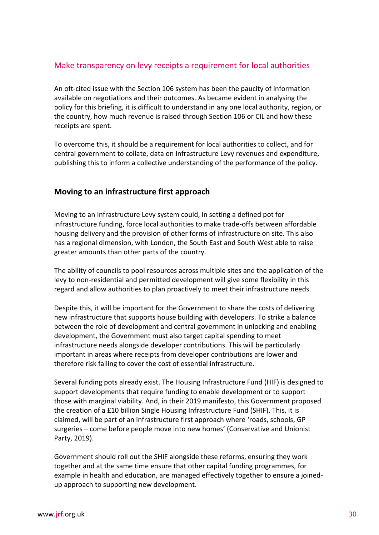#### Make transparency on levy receipts a requirement for local authorities

An oft-cited issue with the Section 106 system has been the paucity of information available on negotiations and their outcomes. As became evident in analysing the policy for this briefing, it is difficult to understand in any one local authority, region, or the country, how much revenue is raised through Section 106 or CIL and how these receipts are spent.

To overcome this, it should be a requirement for local authorities to collect, and for central government to collate, data on Infrastructure Levy revenues and expenditure, publishing this to inform a collective understanding of the performance of the policy.

#### **Moving to an infrastructure first approach**

Moving to an Infrastructure Levy system could, in setting a defined pot for infrastructure funding, force local authorities to make trade-offs between affordable housing delivery and the provision of other forms of infrastructure on site. This also has a regional dimension, with London, the South East and South West able to raise greater amounts than other parts of the country.

The ability of councils to pool resources across multiple sites and the application of the levy to non-residential and permitted development will give some flexibility in this regard and allow authorities to plan proactively to meet their infrastructure needs.

Despite this, it will be important for the Government to share the costs of delivering new infrastructure that supports house building with developers. To strike a balance between the role of development and central government in unlocking and enabling development, the Government must also target capital spending to meet infrastructure needs alongside developer contributions. This will be particularly important in areas where receipts from developer contributions are lower and therefore risk failing to cover the cost of essential infrastructure.

Several funding pots already exist. The Housing Infrastructure Fund (HIF) is designed to support developments that require funding to enable development or to support those with marginal viability. And, in their 2019 manifesto, this Government proposed the creation of a £10 billion Single Housing Infrastructure Fund (SHIF). This, it is claimed, will be part of an infrastructure first approach where 'roads, schools, GP surgeries – come before people move into new homes' (Conservative and Unionist Party, 2019).

Government should roll out the SHIF alongside these reforms, ensuring they work together and at the same time ensure that other capital funding programmes, for example in health and education, are managed effectively together to ensure a joinedup approach to supporting new development.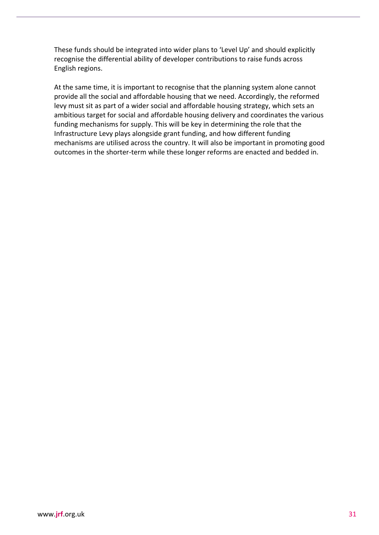These funds should be integrated into wider plans to 'Level Up' and should explicitly recognise the differential ability of developer contributions to raise funds across English regions.

At the same time, it is important to recognise that the planning system alone cannot provide all the social and affordable housing that we need. Accordingly, the reformed levy must sit as part of a wider social and affordable housing strategy, which sets an ambitious target for social and affordable housing delivery and coordinates the various funding mechanisms for supply. This will be key in determining the role that the Infrastructure Levy plays alongside grant funding, and how different funding mechanisms are utilised across the country. It will also be important in promoting good outcomes in the shorter-term while these longer reforms are enacted and bedded in.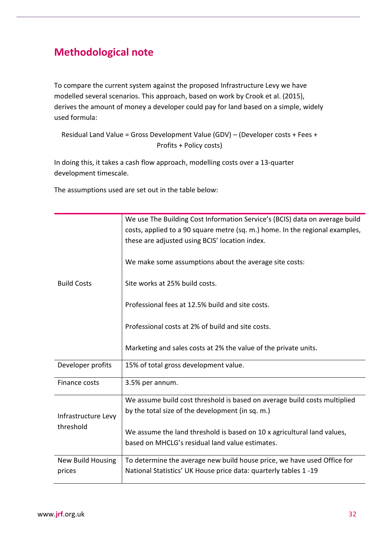# **Methodological note**

To compare the current system against the proposed Infrastructure Levy we have modelled several scenarios. This approach, based on work by Crook et al. (2015), derives the amount of money a developer could pay for land based on a simple, widely used formula:

Residual Land Value = Gross Development Value (GDV) – (Developer costs + Fees + Profits + Policy costs)

In doing this, it takes a cash flow approach, modelling costs over a 13-quarter development timescale.

The assumptions used are set out in the table below:

|                          | We use The Building Cost Information Service's (BCIS) data on average build  |
|--------------------------|------------------------------------------------------------------------------|
|                          | costs, applied to a 90 square metre (sq. m.) home. In the regional examples, |
|                          | these are adjusted using BCIS' location index.                               |
|                          | We make some assumptions about the average site costs:                       |
| <b>Build Costs</b>       | Site works at 25% build costs.                                               |
|                          |                                                                              |
|                          | Professional fees at 12.5% build and site costs.                             |
|                          |                                                                              |
|                          | Professional costs at 2% of build and site costs.                            |
|                          | Marketing and sales costs at 2% the value of the private units.              |
|                          |                                                                              |
| Developer profits        | 15% of total gross development value.                                        |
| Finance costs            | 3.5% per annum.                                                              |
|                          |                                                                              |
|                          | We assume build cost threshold is based on average build costs multiplied    |
| Infrastructure Levy      | by the total size of the development (in sq. m.)                             |
| threshold                |                                                                              |
|                          | We assume the land threshold is based on 10 x agricultural land values,      |
|                          | based on MHCLG's residual land value estimates.                              |
| <b>New Build Housing</b> | To determine the average new build house price, we have used Office for      |
| prices                   | National Statistics' UK House price data: quarterly tables 1-19              |
|                          |                                                                              |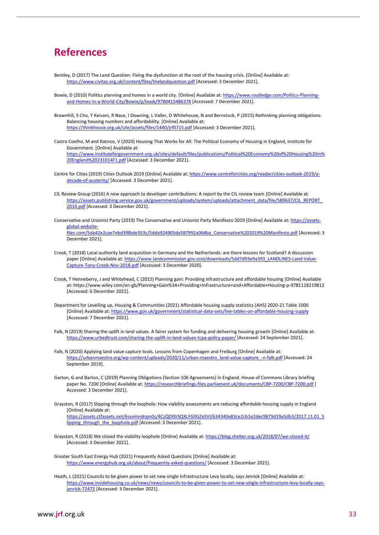## **References**

- Bentley, D (2017) The Land Question: Fixing the dysfunction at the root of the housing crisis. [Online] Available at: <https://www.civitas.org.uk/content/files/thelandquestion.pdf> [Accessed: 3 December 2021].
- Bowie, D (2010) Politics planning and homes in a world city. [Online] Available at[: https://www.routledge.com/Politics-Planning](https://www.routledge.com/Politics-Planning-and-Homes-in-a-World-City/Bowie/p/book/9780415486378)[and-Homes-in-a-World-City/Bowie/p/book/9780415486378](https://www.routledge.com/Politics-Planning-and-Homes-in-a-World-City/Bowie/p/book/9780415486378) [Accessed: 7 December 2021].
- Brownhill, S Cho, Y Keivani, R Nase, I Downing, L Valler, D Whitehouse, N and Bernstock, P (2015) Rethinking planning obligations: Balancing housing numbers and affordability. [Online] Available at: <https://thinkhouse.org.uk/site/assets/files/1440/jrf0715.pdf> [Accessed: 3 December 2021].
- Castro Coelho, M and Ratnoo, V (2020) Housing That Works for All: The Political Economy of Housing in England, Institute for Government. [Online] Available at: [https://www.instituteforgovernment.org.uk/sites/default/files/publications/Political%20Economy%20of%20Housing%20in%](https://www.instituteforgovernment.org.uk/sites/default/files/publications/Political%20Economy%20of%20Housing%20in%20England%20231014F1.pdf) [20England%20231014F1.pdf](https://www.instituteforgovernment.org.uk/sites/default/files/publications/Political%20Economy%20of%20Housing%20in%20England%20231014F1.pdf) [Accessed: 3 December 2021).
- Centre for Cities (2019) Cities Outlook 2019 [Online] Available at[: https://www.centreforcities.org/reader/cities-outlook-2019/a](https://www.centreforcities.org/reader/cities-outlook-2019/a-decade-of-austerity/)[decade-of-austerity/](https://www.centreforcities.org/reader/cities-outlook-2019/a-decade-of-austerity/) [Accessed: 3 December 2021].
- CIL Review Group (2016) A new approach to developer contributions: A report by the CIL review team [Online] Available at: [https://assets.publishing.service.gov.uk/government/uploads/system/uploads/attachment\\_data/file/589637/CIL\\_REPORT\\_](https://assets.publishing.service.gov.uk/government/uploads/system/uploads/attachment_data/file/589637/CIL_REPORT_2016.pdf) [2016.pdf](https://assets.publishing.service.gov.uk/government/uploads/system/uploads/attachment_data/file/589637/CIL_REPORT_2016.pdf) [Accessed: 3 December 2021).
- Conservative and Unionist Party (2019) The Conservative and Unionist Party Manifesto 2019 [Online] Available at[: https://assets](https://assets-global.website-files.com/5da42e2cae7ebd3f8bde353c/5dda924905da587992a064ba_Conservative%202019%20Manifesto.pdf)[global.website](https://assets-global.website-files.com/5da42e2cae7ebd3f8bde353c/5dda924905da587992a064ba_Conservative%202019%20Manifesto.pdf)[files.com/5da42e2cae7ebd3f8bde353c/5dda924905da587992a064ba\\_Conservative%202019%20Manifesto.pdf](https://assets-global.website-files.com/5da42e2cae7ebd3f8bde353c/5dda924905da587992a064ba_Conservative%202019%20Manifesto.pdf) [Accessed: 3 December 2021].
- Crook, T (2018) Local authority land acquisition in Germany and the Netherlands: are there lessons for Scotland? A discussion paper [Online] Available at[: https://www.landcommission.gov.scot/downloads/5dd7d93e9a393\\_LANDLINES-Land-Value-](https://www.landcommission.gov.scot/downloads/5dd7d93e9a393_LANDLINES-Land-Value-Capture-Tony-Crook-Nov-2018.pdf)[Capture-Tony-Crook-Nov-2018.pdf](https://www.landcommission.gov.scot/downloads/5dd7d93e9a393_LANDLINES-Land-Value-Capture-Tony-Crook-Nov-2018.pdf) [Accessed: 3 December 2020].
- Crook, T Henneberry, J and Whitehead, C (2015) Planning gain: Providing infrastructure and affordable housing [Online] Available at: https://www.wiley.com/en-gb/Planning+Gain%3A+Providing+Infrastructure+and+Affordable+Housing-p-9781118219812 [Accessed: 6 December 2021].
- Department for Levelling up, Housing & Communities (2021) Affordable housing supply statistics (AHS) 2020-21 Table 1000 [Online] Available at: <https://www.gov.uk/government/statistical-data-sets/live-tables-on-affordable-housing-supply> [Accessed: 7 December 2021].
- Falk, N (2019) Sharing the uplift in land values. A fairer system for funding and delivering housing growth [Online] Available at: <https://www.urbedtrust.com/sharing-the-uplift-in-land-values-tcpa-policy-paper/> [Accessed: 24 September 2021].
- Falk, N (2020) Applying land value capture tools. Lessons from Copenhagen and Freiburg [Online] Available at: [https://urbanmaestro.org/wp-content/uploads/2020/11/urban-maestro\\_land-value-capture\\_-n-falk.pdf](https://urbanmaestro.org/wp-content/uploads/2020/11/urban-maestro_land-value-capture_-n-falk.pdf) [Accessed: 24 September 2019].
- Garton, G and Barton, C (2019) Planning Obligations (Section 106 Agreements) in England. House of Commons Library briefing paper No. 7200 [Online] Available at[: https://researchbriefings.files.parliament.uk/documents/CBP-7200/CBP-7200.pdf](https://researchbriefings.files.parliament.uk/documents/CBP-7200/CBP-7200.pdf) [ Accessed: 3 December 2021].
- Grayston, R (2017) Slipping through the loophole: How viability assessments are reducing affordable housing supply in England [Online] Available at: [https://assets.ctfassets.net/6sxvmndnpn0s/4CzQDIXrSQXLFGlIGZeSVl/634340e83ce2cb1e2dec9879d19a5db3/2017.11.01\\_S](https://assets.ctfassets.net/6sxvmndnpn0s/4CzQDIXrSQXLFGlIGZeSVl/634340e83ce2cb1e2dec9879d19a5db3/2017.11.01_Slipping_through_the_loophole.pdf) lipping through the loophole.pdf [Accessed: 3 December 2021].
- Grayston, R (2018) We closed the viability loophole [Online] Available at[: https://blog.shelter.org.uk/2018/07/we-closed-it/](https://blog.shelter.org.uk/2018/07/we-closed-it/) [Accessed: 3 December 2021].
- Greater South East Energy Hub (2021) Frequently Asked Questions [Online] Available at: <https://www.energyhub.org.uk/about/frequently-asked-questions/> [Accessed: 3 December 2021].
- Heath, L (2021) Councils to be given power to set new single Infrastructure Levy locally, says Jenrick [Online] Available at: [https://www.insidehousing.co.uk/news/news/councils-to-be-given-power-to-set-new-single-infrastructure-levy-locally-says](https://www.insidehousing.co.uk/news/news/councils-to-be-given-power-to-set-new-single-infrastructure-levy-locally-says-jenrick-72472)[jenrick-72472](https://www.insidehousing.co.uk/news/news/councils-to-be-given-power-to-set-new-single-infrastructure-levy-locally-says-jenrick-72472) [Accessed: 3 December 2021].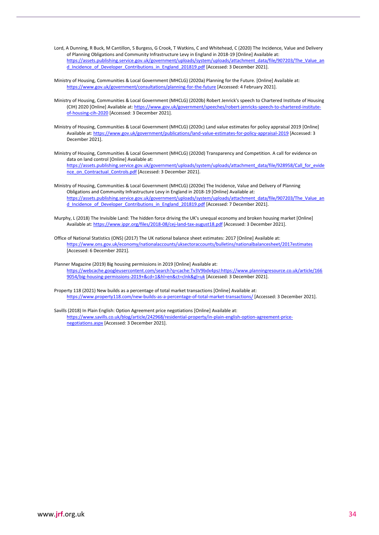- Lord, A Dunning, R Buck, M Cantillon, S Burgess, G Crook, T Watkins, C and Whitehead, C (2020) The Incidence, Value and Delivery of Planning Obligations and Community Infrastructure Levy in England in 2018-19 [Online] Available at: [https://assets.publishing.service.gov.uk/government/uploads/system/uploads/attachment\\_data/file/907203/The\\_Value\\_an](https://assets.publishing.service.gov.uk/government/uploads/system/uploads/attachment_data/file/907203/The_Value_and_Incidence_of_Developer_Contributions_in_England_201819.pdf) d Incidence of Developer Contributions in England 201819.pdf [Accessed: 3 December 2021].
- Ministry of Housing, Communities & Local Government (MHCLG) (2020a) Planning for the Future. [Online] Available at: <https://www.gov.uk/government/consultations/planning-for-the-future> [Accessed: 4 February 2021].
- Ministry of Housing, Communities & Local Government (MHCLG) (2020b) Robert Jenrick's speech to Chartered Institute of Housing (CIH) 2020 [Online] Available at: [https://www.gov.uk/government/speeches/robert-jenricks-speech-to-chartered-institute](https://www.gov.uk/government/speeches/robert-jenricks-speech-to-chartered-institute-of-housing-cih-2020)[of-housing-cih-2020](https://www.gov.uk/government/speeches/robert-jenricks-speech-to-chartered-institute-of-housing-cih-2020) [Accessed: 3 December 2021].
- Ministry of Housing, Communities & Local Government (MHCLG) (2020c) Land value estimates for policy appraisal 2019 [Online] Available at: <https://www.gov.uk/government/publications/land-value-estimates-for-policy-appraisal-2019> [Accessed: 3 December 2021].
- Ministry of Housing, Communities & Local Government (MHCLG) (2020d) Transparency and Competition. A call for evidence on data on land control [Online] Available at: [https://assets.publishing.service.gov.uk/government/uploads/system/uploads/attachment\\_data/file/928958/Call\\_for\\_evide](https://assets.publishing.service.gov.uk/government/uploads/system/uploads/attachment_data/file/928958/Call_for_evidence_on_Contractual_Controls.pdf) [nce\\_on\\_Contractual\\_Controls.pdf](https://assets.publishing.service.gov.uk/government/uploads/system/uploads/attachment_data/file/928958/Call_for_evidence_on_Contractual_Controls.pdf) [Accessed: 3 December 2021].
- Ministry of Housing, Communities & Local Government (MHCLG) (2020e) The Incidence, Value and Delivery of Planning Obligations and Community Infrastructure Levy in England in 2018-19 [Online] Available at: [https://assets.publishing.service.gov.uk/government/uploads/system/uploads/attachment\\_data/file/907203/The\\_Value\\_an](https://assets.publishing.service.gov.uk/government/uploads/system/uploads/attachment_data/file/907203/The_Value_and_Incidence_of_Developer_Contributions_in_England_201819.pdf) [d\\_Incidence\\_of\\_Developer\\_Contributions\\_in\\_England\\_201819.pdf](https://assets.publishing.service.gov.uk/government/uploads/system/uploads/attachment_data/file/907203/The_Value_and_Incidence_of_Developer_Contributions_in_England_201819.pdf) [Accessed: 7 December 2021].
- Murphy, L (2018) The Invisible Land: The hidden force driving the UK's unequal economy and broken housing market [Online] Available at:<https://www.ippr.org/files/2018-08/cej-land-tax-august18.pdf> [Accessed: 3 December 2021].
- Office of National Statistics (ONS) (2017) The UK national balance sheet estimates: 2017 [Online] Available at: <https://www.ons.gov.uk/economy/nationalaccounts/uksectoraccounts/bulletins/nationalbalancesheet/2017estimates> [Accessed: 6 December 2021].
- Planner Magazine (2019) Big housing permissions in 2019 [Online] Available at: [https://webcache.googleusercontent.com/search?q=cache:Tv3V9bdx4psJ:https://www.planningresource.co.uk/article/166](https://webcache.googleusercontent.com/search?q=cache:Tv3V9bdx4psJ:https://www.planningresource.co.uk/article/1669054/big-housing-permissions-2019+&cd=1&hl=en&ct=clnk&gl=uk) [9054/big-housing-permissions-2019+&cd=1&hl=en&ct=clnk&gl=uk](https://webcache.googleusercontent.com/search?q=cache:Tv3V9bdx4psJ:https://www.planningresource.co.uk/article/1669054/big-housing-permissions-2019+&cd=1&hl=en&ct=clnk&gl=uk) [Accessed: 3 December 2021].
- Property 118 (2021) New builds as a percentage of total market transactions [Online] Available at: <https://www.property118.com/new-builds-as-a-percentage-of-total-market-transactions/> [Accessed: 3 December 2021].
- Savills (2018) In Plain English: Option Agreement price negotiations [Online] Available at: [https://www.savills.co.uk/blog/article/242968/residential-property/in-plain-english-option-agreement-price](https://www.savills.co.uk/blog/article/242968/residential-property/in-plain-english-option-agreement-price-negotiations.aspx)[negotiations.aspx](https://www.savills.co.uk/blog/article/242968/residential-property/in-plain-english-option-agreement-price-negotiations.aspx) [Accessed: 3 December 2021].